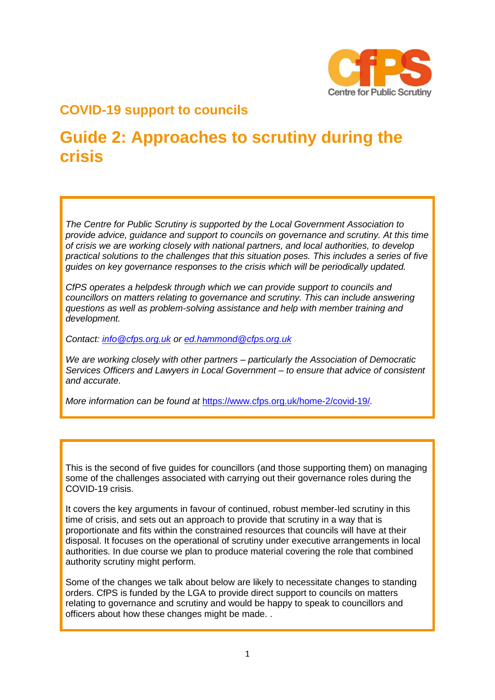

# **COVID-19 support to councils**

# **Guide 2: Approaches to scrutiny during the crisis**

*The Centre for Public Scrutiny is supported by the Local Government Association to provide advice, guidance and support to councils on governance and scrutiny. At this time of crisis we are working closely with national partners, and local authorities, to develop practical solutions to the challenges that this situation poses. This includes a series of five guides on key governance responses to the crisis which will be periodically updated.*

*CfPS operates a helpdesk through which we can provide support to councils and councillors on matters relating to governance and scrutiny. This can include answering questions as well as problem-solving assistance and help with member training and development.* 

*Contact: [info@cfps.org.uk](mailto:info@cfps.org.uk) or [ed.hammond@cfps.org.uk](mailto:ed.hammond@cfps.org.uk)* 

*We are working closely with other partners – particularly the Association of Democratic Services Officers and Lawyers in Local Government – to ensure that advice of consistent and accurate.* 

*More information can be found at* <https://www.cfps.org.uk/home-2/covid-19/>*.* 

This is the second of five guides for councillors (and those supporting them) on managing some of the challenges associated with carrying out their governance roles during the COVID-19 crisis.

It covers the key arguments in favour of continued, robust member-led scrutiny in this time of crisis, and sets out an approach to provide that scrutiny in a way that is proportionate and fits within the constrained resources that councils will have at their disposal. It focuses on the operational of scrutiny under executive arrangements in local authorities. In due course we plan to produce material covering the role that combined authority scrutiny might perform.

Some of the changes we talk about below are likely to necessitate changes to standing orders. CfPS is funded by the LGA to provide direct support to councils on matters relating to governance and scrutiny and would be happy to speak to councillors and officers about how these changes might be made. .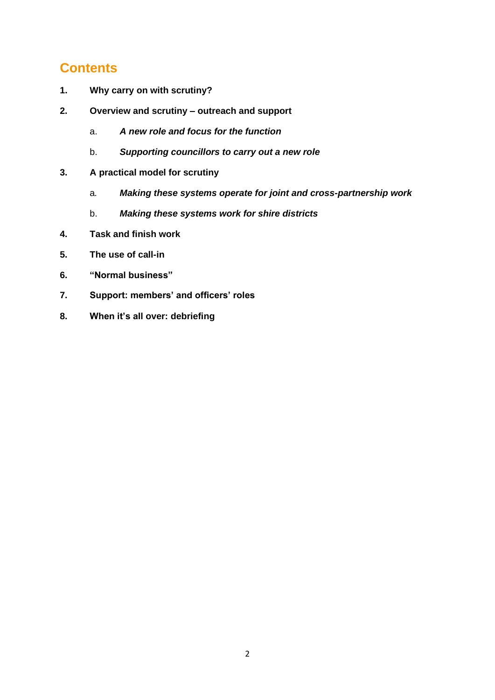# **Contents**

- **1. Why carry on with scrutiny?**
- **2. Overview and scrutiny – outreach and support**
	- a. *A new role and focus for the function*
	- b. *Supporting councillors to carry out a new role*
- **3. A practical model for scrutiny**
	- a*. Making these systems operate for joint and cross-partnership work*
	- b. *Making these systems work for shire districts*
- **4. Task and finish work**
- **5. The use of call-in**
- **6. "Normal business"**
- **7. Support: members' and officers' roles**
- **8. When it's all over: debriefing**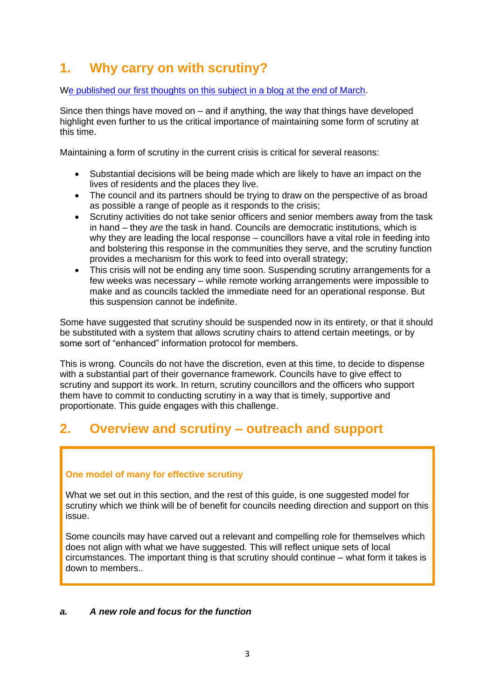# **1. Why carry on with scrutiny?**

[We published our first thoughts on this subject in a blog at the end of March.](https://www.cfps.org.uk/what-will-scrutiny-look-like/)

Since then things have moved on – and if anything, the way that things have developed highlight even further to us the critical importance of maintaining some form of scrutiny at this time.

Maintaining a form of scrutiny in the current crisis is critical for several reasons:

- Substantial decisions will be being made which are likely to have an impact on the lives of residents and the places they live.
- The council and its partners should be trying to draw on the perspective of as broad as possible a range of people as it responds to the crisis;
- Scrutiny activities do not take senior officers and senior members away from the task in hand – they *are* the task in hand. Councils are democratic institutions, which is why they are leading the local response – councillors have a vital role in feeding into and bolstering this response in the communities they serve, and the scrutiny function provides a mechanism for this work to feed into overall strategy;
- This crisis will not be ending any time soon. Suspending scrutiny arrangements for a few weeks was necessary – while remote working arrangements were impossible to make and as councils tackled the immediate need for an operational response. But this suspension cannot be indefinite.

Some have suggested that scrutiny should be suspended now in its entirety, or that it should be substituted with a system that allows scrutiny chairs to attend certain meetings, or by some sort of "enhanced" information protocol for members.

This is wrong. Councils do not have the discretion, even at this time, to decide to dispense with a substantial part of their governance framework. Councils have to give effect to scrutiny and support its work. In return, scrutiny councillors and the officers who support them have to commit to conducting scrutiny in a way that is timely, supportive and proportionate. This guide engages with this challenge.

# **2. Overview and scrutiny – outreach and support**

### **One model of many for effective scrutiny**

What we set out in this section, and the rest of this guide, is one suggested model for scrutiny which we think will be of benefit for councils needing direction and support on this issue.

Some councils may have carved out a relevant and compelling role for themselves which does not align with what we have suggested. This will reflect unique sets of local circumstances. The important thing is that scrutiny should continue – what form it takes is down to members..

### *a. A new role and focus for the function*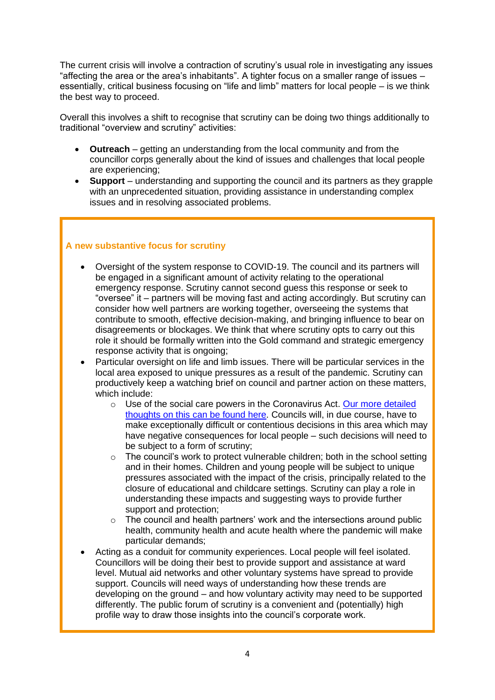The current crisis will involve a contraction of scrutiny's usual role in investigating any issues "affecting the area or the area's inhabitants". A tighter focus on a smaller range of issues – essentially, critical business focusing on "life and limb" matters for local people – is we think the best way to proceed.

Overall this involves a shift to recognise that scrutiny can be doing two things additionally to traditional "overview and scrutiny" activities:

- **Outreach** getting an understanding from the local community and from the councillor corps generally about the kind of issues and challenges that local people are experiencing;
- **Support** understanding and supporting the council and its partners as they grapple with an unprecedented situation, providing assistance in understanding complex issues and in resolving associated problems.

### **A new substantive focus for scrutiny**

- Oversight of the system response to COVID-19. The council and its partners will be engaged in a significant amount of activity relating to the operational emergency response. Scrutiny cannot second guess this response or seek to "oversee" it – partners will be moving fast and acting accordingly. But scrutiny can consider how well partners are working together, overseeing the systems that contribute to smooth, effective decision-making, and bringing influence to bear on disagreements or blockages. We think that where scrutiny opts to carry out this role it should be formally written into the Gold command and strategic emergency response activity that is ongoing;
- Particular oversight on life and limb issues. There will be particular services in the local area exposed to unique pressures as a result of the pandemic. Scrutiny can productively keep a watching brief on council and partner action on these matters, which include:
	- o Use of the social care powers in the Coronavirus Act. [Our more detailed](https://www.cfps.org.uk/social-care-covid-19-and-scrutiny/)  thoughts on this [can be found here.](https://www.cfps.org.uk/social-care-covid-19-and-scrutiny/) Councils will, in due course, have to make exceptionally difficult or contentious decisions in this area which may have negative consequences for local people – such decisions will need to be subject to a form of scrutiny;
	- $\circ$  The council's work to protect vulnerable children; both in the school setting and in their homes. Children and young people will be subject to unique pressures associated with the impact of the crisis, principally related to the closure of educational and childcare settings. Scrutiny can play a role in understanding these impacts and suggesting ways to provide further support and protection;
	- $\circ$  The council and health partners' work and the intersections around public health, community health and acute health where the pandemic will make particular demands;
- Acting as a conduit for community experiences. Local people will feel isolated. Councillors will be doing their best to provide support and assistance at ward level. Mutual aid networks and other voluntary systems have spread to provide support. Councils will need ways of understanding how these trends are developing on the ground – and how voluntary activity may need to be supported differently. The public forum of scrutiny is a convenient and (potentially) high profile way to draw those insights into the council's corporate work.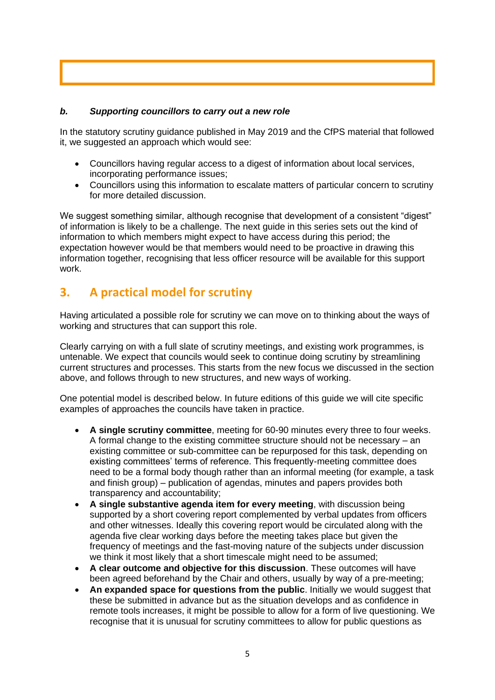### *b. Supporting councillors to carry out a new role*

In the statutory scrutiny guidance published in May 2019 and the CfPS material that followed it, we suggested an approach which would see:

- Councillors having regular access to a digest of information about local services, incorporating performance issues;
- Councillors using this information to escalate matters of particular concern to scrutiny for more detailed discussion.

We suggest something similar, although recognise that development of a consistent "digest" of information is likely to be a challenge. The next guide in this series sets out the kind of information to which members might expect to have access during this period; the expectation however would be that members would need to be proactive in drawing this information together, recognising that less officer resource will be available for this support work.

### **3. A practical model for scrutiny**

Having articulated a possible role for scrutiny we can move on to thinking about the ways of working and structures that can support this role.

Clearly carrying on with a full slate of scrutiny meetings, and existing work programmes, is untenable. We expect that councils would seek to continue doing scrutiny by streamlining current structures and processes. This starts from the new focus we discussed in the section above, and follows through to new structures, and new ways of working.

One potential model is described below. In future editions of this guide we will cite specific examples of approaches the councils have taken in practice.

- **A single scrutiny committee**, meeting for 60-90 minutes every three to four weeks. A formal change to the existing committee structure should not be necessary – an existing committee or sub-committee can be repurposed for this task, depending on existing committees' terms of reference. This frequently-meeting committee does need to be a formal body though rather than an informal meeting (for example, a task and finish group) – publication of agendas, minutes and papers provides both transparency and accountability;
- **A single substantive agenda item for every meeting**, with discussion being supported by a short covering report complemented by verbal updates from officers and other witnesses. Ideally this covering report would be circulated along with the agenda five clear working days before the meeting takes place but given the frequency of meetings and the fast-moving nature of the subjects under discussion we think it most likely that a short timescale might need to be assumed;
- **A clear outcome and objective for this discussion**. These outcomes will have been agreed beforehand by the Chair and others, usually by way of a pre-meeting;
- **An expanded space for questions from the public**. Initially we would suggest that these be submitted in advance but as the situation develops and as confidence in remote tools increases, it might be possible to allow for a form of live questioning. We recognise that it is unusual for scrutiny committees to allow for public questions as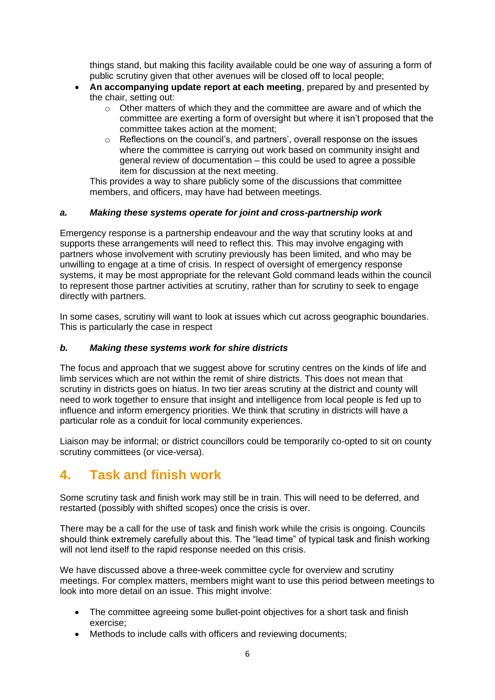things stand, but making this facility available could be one way of assuring a form of public scrutiny given that other avenues will be closed off to local people;

- **An accompanying update report at each meeting**, prepared by and presented by the chair, setting out:
	- $\circ$  Other matters of which they and the committee are aware and of which the committee are exerting a form of oversight but where it isn't proposed that the committee takes action at the moment;
	- $\circ$  Reflections on the council's, and partners', overall response on the issues where the committee is carrying out work based on community insight and general review of documentation – this could be used to agree a possible item for discussion at the next meeting.

This provides a way to share publicly some of the discussions that committee members, and officers, may have had between meetings.

### *a. Making these systems operate for joint and cross-partnership work*

Emergency response is a partnership endeavour and the way that scrutiny looks at and supports these arrangements will need to reflect this. This may involve engaging with partners whose involvement with scrutiny previously has been limited, and who may be unwilling to engage at a time of crisis. In respect of oversight of emergency response systems, it may be most appropriate for the relevant Gold command leads within the council to represent those partner activities at scrutiny, rather than for scrutiny to seek to engage directly with partners.

In some cases, scrutiny will want to look at issues which cut across geographic boundaries. This is particularly the case in respect

### *b. Making these systems work for shire districts*

The focus and approach that we suggest above for scrutiny centres on the kinds of life and limb services which are not within the remit of shire districts. This does not mean that scrutiny in districts goes on hiatus. In two tier areas scrutiny at the district and county will need to work together to ensure that insight and intelligence from local people is fed up to influence and inform emergency priorities. We think that scrutiny in districts will have a particular role as a conduit for local community experiences.

Liaison may be informal; or district councillors could be temporarily co-opted to sit on county scrutiny committees (or vice-versa).

# **4. Task and finish work**

Some scrutiny task and finish work may still be in train. This will need to be deferred, and restarted (possibly with shifted scopes) once the crisis is over.

There may be a call for the use of task and finish work while the crisis is ongoing. Councils should think extremely carefully about this. The "lead time" of typical task and finish working will not lend itself to the rapid response needed on this crisis.

We have discussed above a three-week committee cycle for overview and scrutiny meetings. For complex matters, members might want to use this period between meetings to look into more detail on an issue. This might involve:

- The committee agreeing some bullet-point objectives for a short task and finish exercise;
- Methods to include calls with officers and reviewing documents;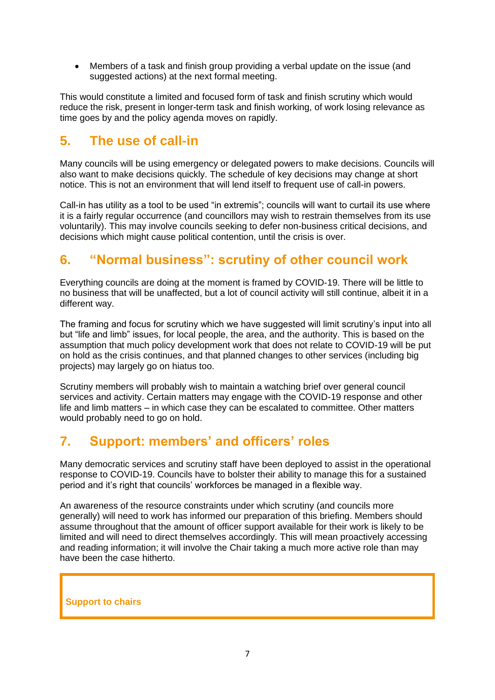• Members of a task and finish group providing a verbal update on the issue (and suggested actions) at the next formal meeting.

This would constitute a limited and focused form of task and finish scrutiny which would reduce the risk, present in longer-term task and finish working, of work losing relevance as time goes by and the policy agenda moves on rapidly.

# **5. The use of call-in**

Many councils will be using emergency or delegated powers to make decisions. Councils will also want to make decisions quickly. The schedule of key decisions may change at short notice. This is not an environment that will lend itself to frequent use of call-in powers.

Call-in has utility as a tool to be used "in extremis"; councils will want to curtail its use where it is a fairly regular occurrence (and councillors may wish to restrain themselves from its use voluntarily). This may involve councils seeking to defer non-business critical decisions, and decisions which might cause political contention, until the crisis is over.

# **6. "Normal business": scrutiny of other council work**

Everything councils are doing at the moment is framed by COVID-19. There will be little to no business that will be unaffected, but a lot of council activity will still continue, albeit it in a different way.

The framing and focus for scrutiny which we have suggested will limit scrutiny's input into all but "life and limb" issues, for local people, the area, and the authority. This is based on the assumption that much policy development work that does not relate to COVID-19 will be put on hold as the crisis continues, and that planned changes to other services (including big projects) may largely go on hiatus too.

Scrutiny members will probably wish to maintain a watching brief over general council services and activity. Certain matters may engage with the COVID-19 response and other life and limb matters – in which case they can be escalated to committee. Other matters would probably need to go on hold.

# **7. Support: members' and officers' roles**

Many democratic services and scrutiny staff have been deployed to assist in the operational response to COVID-19. Councils have to bolster their ability to manage this for a sustained period and it's right that councils' workforces be managed in a flexible way.

An awareness of the resource constraints under which scrutiny (and councils more generally) will need to work has informed our preparation of this briefing. Members should assume throughout that the amount of officer support available for their work is likely to be limited and will need to direct themselves accordingly. This will mean proactively accessing and reading information; it will involve the Chair taking a much more active role than may have been the case hitherto.

### **Support to chairs**